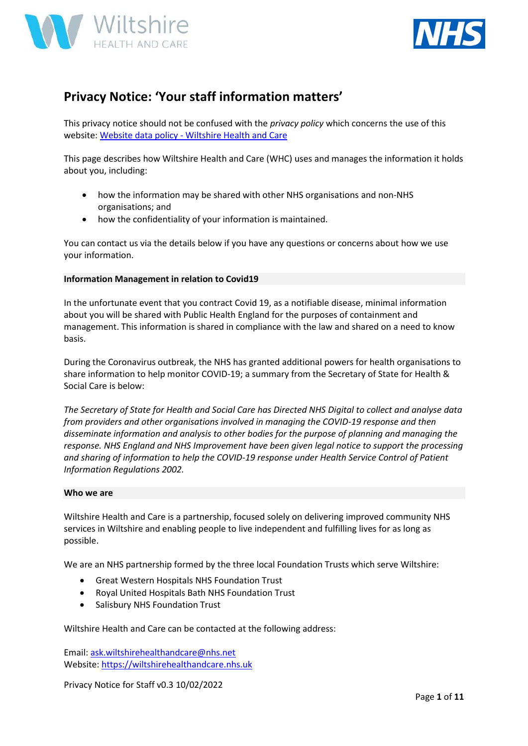



# **Privacy Notice: 'Your staff information matters'**

This privacy notice should not be confused with the *privacy policy* which concerns the use of this website: Website data policy - [Wiltshire Health and Care](https://wiltshirehealthandcare.nhs.uk/website-data-policy/)

This page describes how Wiltshire Health and Care (WHC) uses and manages the information it holds about you, including:

- how the information may be shared with other NHS organisations and non-NHS organisations; and
- how the confidentiality of your information is maintained.

You can contact us via the details below if you have any questions or concerns about how we use your information.

#### **Information Management in relation to Covid19**

In the unfortunate event that you contract Covid 19, as a notifiable disease, minimal information about you will be shared with Public Health England for the purposes of containment and management. This information is shared in compliance with the law and shared on a need to know basis.

During the Coronavirus outbreak, the NHS has granted additional powers for health organisations to share information to help monitor COVID-19; a summary from the Secretary of State for Health & Social Care is below:

*The Secretary of State for Health and Social Care has Directed NHS Digital to collect and analyse data from providers and other organisations involved in managing the COVID-19 response and then disseminate information and analysis to other bodies for the purpose of planning and managing the response. NHS England and NHS Improvement have been given legal notice to support the processing and sharing of information to help the COVID-19 response under Health Service Control of Patient Information Regulations 2002.*

#### **Who we are**

Wiltshire Health and Care is a partnership, focused solely on delivering improved community NHS services in Wiltshire and enabling people to live independent and fulfilling lives for as long as possible.

We are an NHS partnership formed by the three local Foundation Trusts which serve Wiltshire:

- Great Western Hospitals NHS Foundation Trust
- Royal United Hospitals Bath NHS Foundation Trust
- Salisbury NHS Foundation Trust

### Wiltshire Health and Care can be contacted at the following address:

Email: [ask.wiltshirehealthandcare@nhs.net](mailto:ask.wiltshirehealthandcare@nhs.net) Website[: https://wiltshirehealthandcare.nhs.uk](https://wiltshirehealthandcare.nhs.uk/)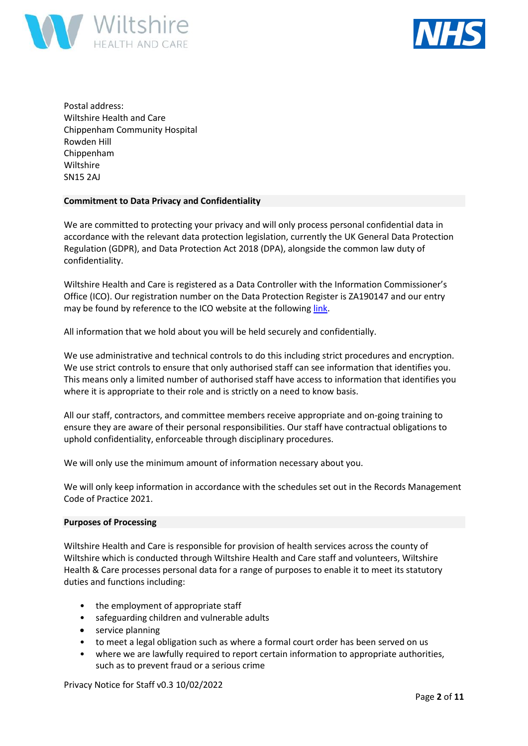



Postal address: Wiltshire Health and Care Chippenham Community Hospital Rowden Hill Chippenham Wiltshire SN15 2AJ

#### **Commitment to Data Privacy and Confidentiality**

We are committed to protecting your privacy and will only process personal confidential data in accordance with the relevant data protection legislation, currently the UK General Data Protection Regulation (GDPR), and Data Protection Act 2018 (DPA), alongside the common law duty of confidentiality.

Wiltshire Health and Care is registered as a Data Controller with the Information Commissioner's Office (ICO). Our registration number on the Data Protection Register is ZA190147 and our entry may be found by reference to the ICO website at the following [link.](https://ico.org.uk/about-the-ico/what-we-do/register-of-fee-payers/)

All information that we hold about you will be held securely and confidentially.

We use administrative and technical controls to do this including strict procedures and encryption. We use strict controls to ensure that only authorised staff can see information that identifies you. This means only a limited number of authorised staff have access to information that identifies you where it is appropriate to their role and is strictly on a need to know basis.

All our staff, contractors, and committee members receive appropriate and on-going training to ensure they are aware of their personal responsibilities. Our staff have contractual obligations to uphold confidentiality, enforceable through disciplinary procedures.

We will only use the minimum amount of information necessary about you.

We will only keep information in accordance with the schedules set out in the Records Management Code of Practice 2021.

#### **Purposes of Processing**

Wiltshire Health and Care is responsible for provision of health services across the county of Wiltshire which is conducted through Wiltshire Health and Care staff and volunteers, Wiltshire Health & Care processes personal data for a range of purposes to enable it to meet its statutory duties and functions including:

- the employment of appropriate staff
- safeguarding children and vulnerable adults
- service planning
- to meet a legal obligation such as where a formal court order has been served on us
- where we are lawfully required to report certain information to appropriate authorities, such as to prevent fraud or a serious crime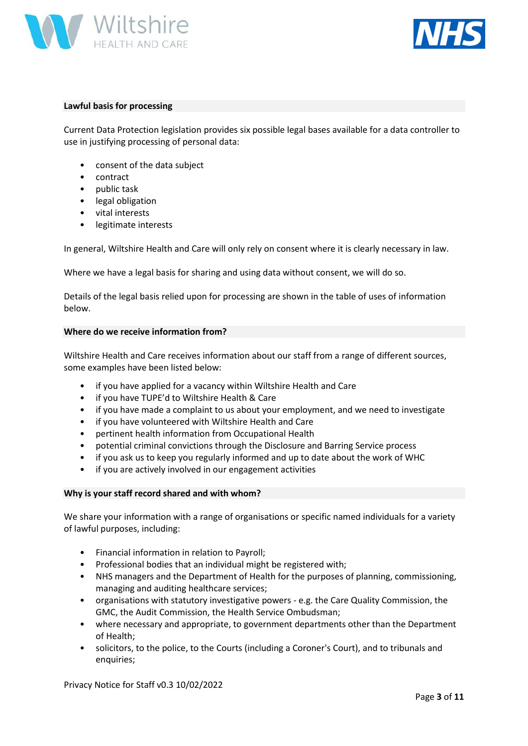



#### **Lawful basis for processing**

Current Data Protection legislation provides six possible legal bases available for a data controller to use in justifying processing of personal data:

- consent of the data subject
- contract
- public task
- legal obligation
- vital interests
- legitimate interests

In general, Wiltshire Health and Care will only rely on consent where it is clearly necessary in law.

Where we have a legal basis for sharing and using data without consent, we will do so.

Details of the legal basis relied upon for processing are shown in the table of uses of information below.

#### **Where do we receive information from?**

Wiltshire Health and Care receives information about our staff from a range of different sources, some examples have been listed below:

- if you have applied for a vacancy within Wiltshire Health and Care
- if you have TUPE'd to Wiltshire Health & Care
- if you have made a complaint to us about your employment, and we need to investigate
- if you have volunteered with Wiltshire Health and Care
- pertinent health information from Occupational Health
- potential criminal convictions through the Disclosure and Barring Service process
- if you ask us to keep you regularly informed and up to date about the work of WHC
- if you are actively involved in our engagement activities

#### **Why is your staff record shared and with whom?**

We share your information with a range of organisations or specific named individuals for a variety of lawful purposes, including:

- Financial information in relation to Payroll;
- Professional bodies that an individual might be registered with;
- NHS managers and the Department of Health for the purposes of planning, commissioning, managing and auditing healthcare services;
- organisations with statutory investigative powers e.g. the Care Quality Commission, the GMC, the Audit Commission, the Health Service Ombudsman;
- where necessary and appropriate, to government departments other than the Department of Health;
- solicitors, to the police, to the Courts (including a Coroner's Court), and to tribunals and enquiries;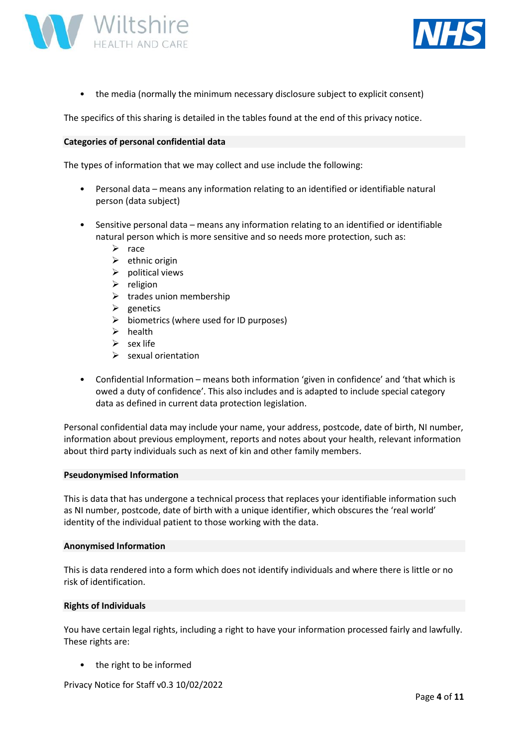



• the media (normally the minimum necessary disclosure subject to explicit consent)

The specifics of this sharing is detailed in the tables found at the end of this privacy notice.

#### **Categories of personal confidential data**

The types of information that we may collect and use include the following:

- Personal data means any information relating to an identified or identifiable natural person (data subject)
- Sensitive personal data means any information relating to an identified or identifiable natural person which is more sensitive and so needs more protection, such as:
	- ➢ race
	- $\triangleright$  ethnic origin
	- $\triangleright$  political views
	- ➢ religion
	- $\triangleright$  trades union membership
	- $\triangleright$  genetics
	- $\triangleright$  biometrics (where used for ID purposes)
	- ➢ health
	- $\triangleright$  sex life
	- $\triangleright$  sexual orientation
- Confidential Information means both information 'given in confidence' and 'that which is owed a duty of confidence'. This also includes and is adapted to include special category data as defined in current data protection legislation.

Personal confidential data may include your name, your address, postcode, date of birth, NI number, information about previous employment, reports and notes about your health, relevant information about third party individuals such as next of kin and other family members.

#### **Pseudonymised Information**

This is data that has undergone a technical process that replaces your identifiable information such as NI number, postcode, date of birth with a unique identifier, which obscures the 'real world' identity of the individual patient to those working with the data.

#### **Anonymised Information**

This is data rendered into a form which does not identify individuals and where there is little or no risk of identification.

#### **Rights of Individuals**

You have certain legal rights, including a right to have your information processed fairly and lawfully. These rights are:

the right to be informed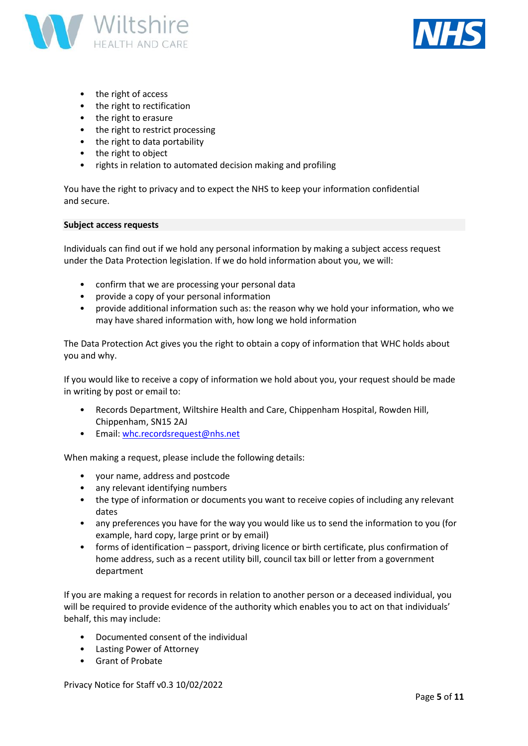



- the right of access
- the right to rectification
- the right to erasure
- the right to restrict processing
- the right to data portability
- the right to object
- rights in relation to automated decision making and profiling

You have the right to privacy and to expect the NHS to keep your information confidential and secure.

#### **Subject access requests**

Individuals can find out if we hold any personal information by making a subject access request under the Data Protection legislation. If we do hold information about you, we will:

- confirm that we are processing your personal data
- provide a copy of your personal information
- provide additional information such as: the reason why we hold your information, who we may have shared information with, how long we hold information

The Data Protection Act gives you the right to obtain a copy of information that WHC holds about you and why.

If you would like to receive a copy of information we hold about you, your request should be made in writing by post or email to:

- Records Department, Wiltshire Health and Care, Chippenham Hospital, Rowden Hill, Chippenham, SN15 2AJ
- Email: [whc.recordsrequest@nhs.net](mailto:whc.recordsrequest@nhs.net)

When making a request, please include the following details:

- your name, address and postcode
- any relevant identifying numbers
- the type of information or documents you want to receive copies of including any relevant dates
- any preferences you have for the way you would like us to send the information to you (for example, hard copy, large print or by email)
- forms of identification passport, driving licence or birth certificate, plus confirmation of home address, such as a recent utility bill, council tax bill or letter from a government department

If you are making a request for records in relation to another person or a deceased individual, you will be required to provide evidence of the authority which enables you to act on that individuals' behalf, this may include:

- Documented consent of the individual
- Lasting Power of Attorney
- Grant of Probate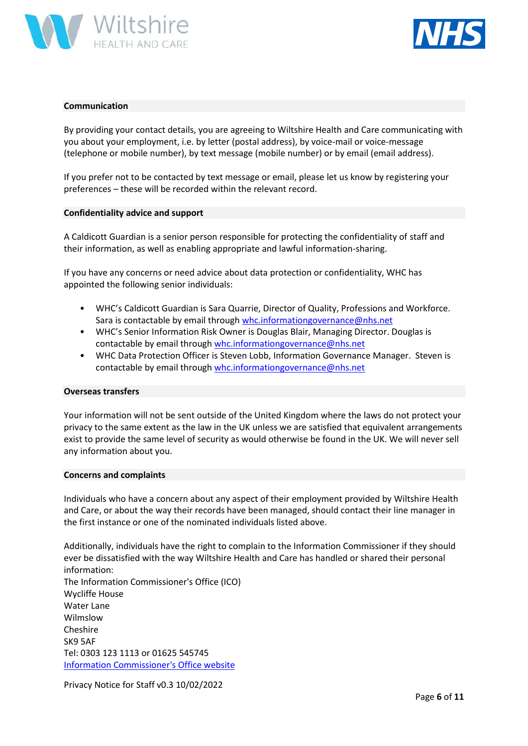



#### **Communication**

By providing your contact details, you are agreeing to Wiltshire Health and Care communicating with you about your employment, i.e. by letter (postal address), by voice-mail or voice-message (telephone or mobile number), by text message (mobile number) or by email (email address).

If you prefer not to be contacted by text message or email, please let us know by registering your preferences – these will be recorded within the relevant record.

#### **Confidentiality advice and support**

A Caldicott Guardian is a senior person responsible for protecting the confidentiality of staff and their information, as well as enabling appropriate and lawful information-sharing.

If you have any concerns or need advice about data protection or confidentiality, WHC has appointed the following senior individuals:

- WHC's Caldicott Guardian is Sara Quarrie, Director of Quality, Professions and Workforce. Sara is contactable by email through [whc.informationgovernance@nhs.net](mailto:whc.informationgovernance@nhs.net)
- WHC's Senior Information Risk Owner is Douglas Blair, Managing Director. Douglas is contactable by email throug[h whc.informationgovernance@nhs.net](mailto:whc.informationgovernance@nhs.net)
- WHC Data Protection Officer is Steven Lobb, Information Governance Manager. Steven is contactable by email throug[h whc.informationgovernance@nhs.net](mailto:whc.informationgovernance@nhs.net)

#### **Overseas transfers**

Your information will not be sent outside of the United Kingdom where the laws do not protect your privacy to the same extent as the law in the UK unless we are satisfied that equivalent arrangements exist to provide the same level of security as would otherwise be found in the UK. We will never sell any information about you.

#### **Concerns and complaints**

Individuals who have a concern about any aspect of their employment provided by Wiltshire Health and Care, or about the way their records have been managed, should contact their line manager in the first instance or one of the nominated individuals listed above.

Additionally, individuals have the right to complain to the Information Commissioner if they should ever be dissatisfied with the way Wiltshire Health and Care has handled or shared their personal information: The Information Commissioner's Office (ICO) Wycliffe House Water Lane Wilmslow Cheshire SK9 5AF Tel: 0303 123 1113 or 01625 545745 [Information Commissioner's Office website](http://www.ico.org.uk/)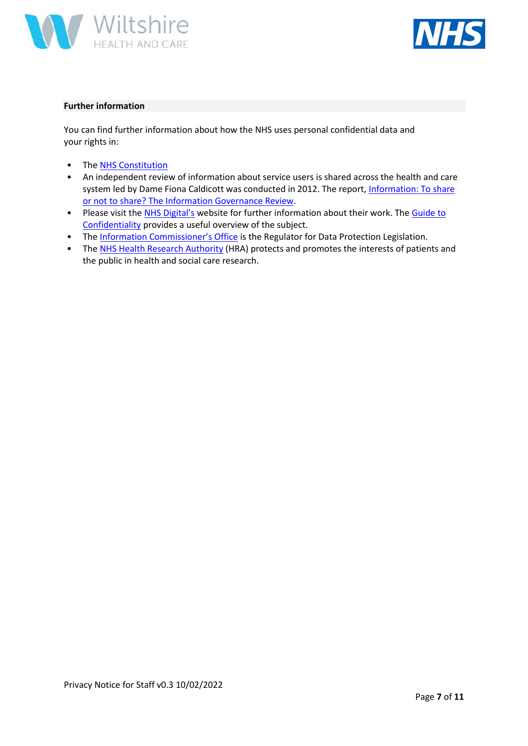



## **Further information**

You can find further information about how the NHS uses personal confidential data and your rights in:

- Th[e NHS Constitution](https://www.gov.uk/government/publications/the-nhs-constitution-for-england)
- An independent review of information about service users is shared across the health and care system led by Dame Fiona Caldicott was conducted in 2012. The report, Information: To share [or not to share? The Information Governance Review.](https://www.gov.uk/government/publications/the-information-governance-review)
- Please visit the [NHS Digital's](https://digital.nhs.uk/) website for further information about their work. The [Guide to](https://digital.nhs.uk/data-security-information-governance) [Confidentiality](https://digital.nhs.uk/data-security-information-governance) provides a useful overview of the subject.
- The [Information Commissioner's Office](http://www.ico.org.uk/) is the Regulator for Data Protection Legislation.
- Th[e NHS Health Research Authority](https://www.hra.nhs.uk/) (HRA) protects and promotes the interests of patients and the public in health and social care research.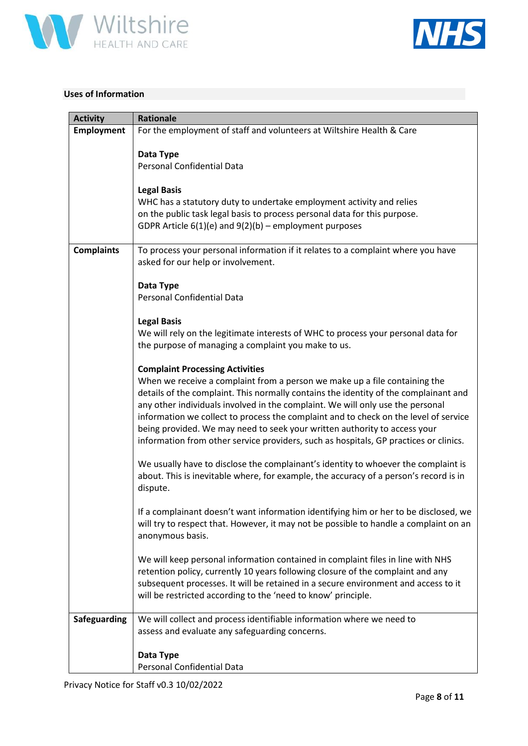



# **Uses of Information**

| <b>Activity</b>   | <b>Rationale</b>                                                                                                                                                   |
|-------------------|--------------------------------------------------------------------------------------------------------------------------------------------------------------------|
| Employment        | For the employment of staff and volunteers at Wiltshire Health & Care                                                                                              |
|                   | Data Type                                                                                                                                                          |
|                   | <b>Personal Confidential Data</b>                                                                                                                                  |
|                   |                                                                                                                                                                    |
|                   | <b>Legal Basis</b>                                                                                                                                                 |
|                   | WHC has a statutory duty to undertake employment activity and relies                                                                                               |
|                   | on the public task legal basis to process personal data for this purpose.<br>GDPR Article $6(1)(e)$ and $9(2)(b)$ – employment purposes                            |
|                   |                                                                                                                                                                    |
| <b>Complaints</b> | To process your personal information if it relates to a complaint where you have<br>asked for our help or involvement.                                             |
|                   |                                                                                                                                                                    |
|                   | Data Type                                                                                                                                                          |
|                   | <b>Personal Confidential Data</b>                                                                                                                                  |
|                   | <b>Legal Basis</b>                                                                                                                                                 |
|                   | We will rely on the legitimate interests of WHC to process your personal data for                                                                                  |
|                   | the purpose of managing a complaint you make to us.                                                                                                                |
|                   | <b>Complaint Processing Activities</b>                                                                                                                             |
|                   | When we receive a complaint from a person we make up a file containing the                                                                                         |
|                   | details of the complaint. This normally contains the identity of the complainant and                                                                               |
|                   | any other individuals involved in the complaint. We will only use the personal                                                                                     |
|                   | information we collect to process the complaint and to check on the level of service                                                                               |
|                   | being provided. We may need to seek your written authority to access your<br>information from other service providers, such as hospitals, GP practices or clinics. |
|                   |                                                                                                                                                                    |
|                   | We usually have to disclose the complainant's identity to whoever the complaint is                                                                                 |
|                   | about. This is inevitable where, for example, the accuracy of a person's record is in                                                                              |
|                   | dispute.                                                                                                                                                           |
|                   | If a complainant doesn't want information identifying him or her to be disclosed, we                                                                               |
|                   | will try to respect that. However, it may not be possible to handle a complaint on an                                                                              |
|                   | anonymous basis.                                                                                                                                                   |
|                   | We will keep personal information contained in complaint files in line with NHS                                                                                    |
|                   | retention policy, currently 10 years following closure of the complaint and any                                                                                    |
|                   | subsequent processes. It will be retained in a secure environment and access to it                                                                                 |
|                   | will be restricted according to the 'need to know' principle.                                                                                                      |
| Safeguarding      | We will collect and process identifiable information where we need to                                                                                              |
|                   | assess and evaluate any safeguarding concerns.                                                                                                                     |
|                   |                                                                                                                                                                    |
|                   | Data Type                                                                                                                                                          |
|                   | Personal Confidential Data                                                                                                                                         |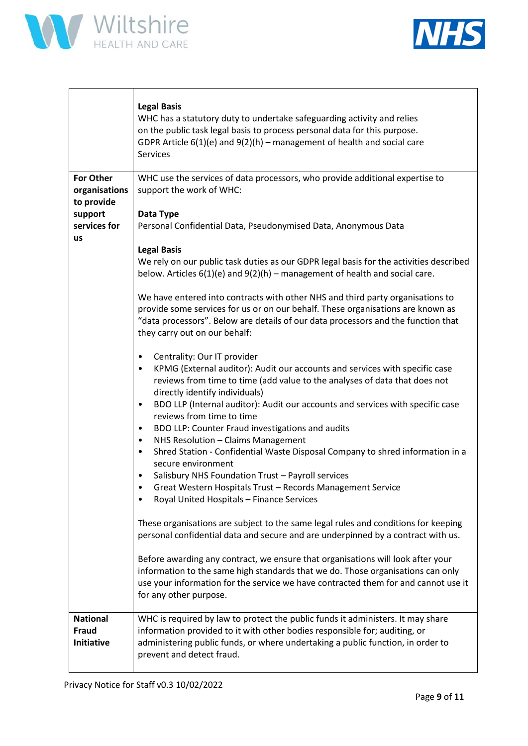



|                                                 | <b>Legal Basis</b><br>WHC has a statutory duty to undertake safeguarding activity and relies<br>on the public task legal basis to process personal data for this purpose.<br>GDPR Article $6(1)(e)$ and $9(2)(h)$ – management of health and social care<br><b>Services</b>                                                                                 |
|-------------------------------------------------|-------------------------------------------------------------------------------------------------------------------------------------------------------------------------------------------------------------------------------------------------------------------------------------------------------------------------------------------------------------|
| <b>For Other</b><br>organisations<br>to provide | WHC use the services of data processors, who provide additional expertise to<br>support the work of WHC:                                                                                                                                                                                                                                                    |
| support<br>services for<br><b>us</b>            | Data Type<br>Personal Confidential Data, Pseudonymised Data, Anonymous Data                                                                                                                                                                                                                                                                                 |
|                                                 | <b>Legal Basis</b><br>We rely on our public task duties as our GDPR legal basis for the activities described<br>below. Articles $6(1)(e)$ and $9(2)(h)$ – management of health and social care.                                                                                                                                                             |
|                                                 | We have entered into contracts with other NHS and third party organisations to<br>provide some services for us or on our behalf. These organisations are known as<br>"data processors". Below are details of our data processors and the function that<br>they carry out on our behalf:                                                                     |
|                                                 | Centrality: Our IT provider<br>٠<br>KPMG (External auditor): Audit our accounts and services with specific case<br>reviews from time to time (add value to the analyses of data that does not<br>directly identify individuals)<br>BDO LLP (Internal auditor): Audit our accounts and services with specific case<br>$\bullet$<br>reviews from time to time |
|                                                 | BDO LLP: Counter Fraud investigations and audits<br>$\bullet$<br>NHS Resolution - Claims Management<br>$\bullet$<br>Shred Station - Confidential Waste Disposal Company to shred information in a<br>$\bullet$                                                                                                                                              |
|                                                 | secure environment<br>Salisbury NHS Foundation Trust - Payroll services                                                                                                                                                                                                                                                                                     |
|                                                 | Great Western Hospitals Trust - Records Management Service<br>Royal United Hospitals - Finance Services                                                                                                                                                                                                                                                     |
|                                                 | These organisations are subject to the same legal rules and conditions for keeping<br>personal confidential data and secure and are underpinned by a contract with us.                                                                                                                                                                                      |
|                                                 | Before awarding any contract, we ensure that organisations will look after your<br>information to the same high standards that we do. Those organisations can only<br>use your information for the service we have contracted them for and cannot use it<br>for any other purpose.                                                                          |
| <b>National</b><br><b>Fraud</b><br>Initiative   | WHC is required by law to protect the public funds it administers. It may share<br>information provided to it with other bodies responsible for; auditing, or<br>administering public funds, or where undertaking a public function, in order to<br>prevent and detect fraud.                                                                               |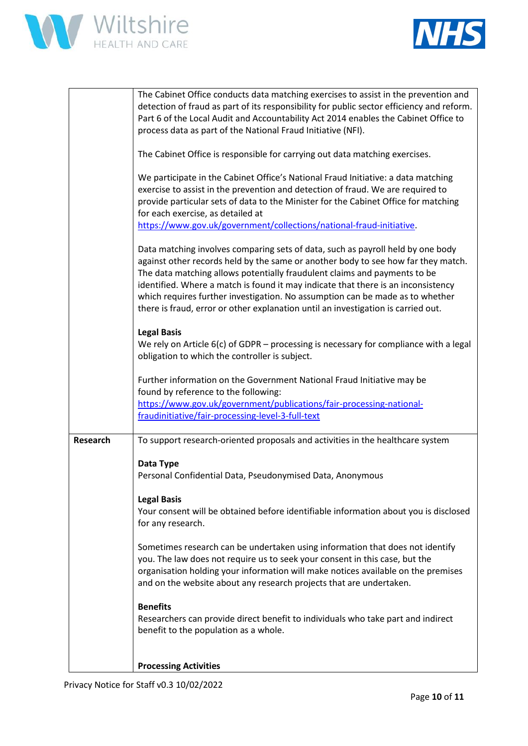



|                 | The Cabinet Office conducts data matching exercises to assist in the prevention and<br>detection of fraud as part of its responsibility for public sector efficiency and reform.<br>Part 6 of the Local Audit and Accountability Act 2014 enables the Cabinet Office to<br>process data as part of the National Fraud Initiative (NFI).                                                                                                                                                                      |
|-----------------|--------------------------------------------------------------------------------------------------------------------------------------------------------------------------------------------------------------------------------------------------------------------------------------------------------------------------------------------------------------------------------------------------------------------------------------------------------------------------------------------------------------|
|                 | The Cabinet Office is responsible for carrying out data matching exercises.                                                                                                                                                                                                                                                                                                                                                                                                                                  |
|                 | We participate in the Cabinet Office's National Fraud Initiative: a data matching<br>exercise to assist in the prevention and detection of fraud. We are required to<br>provide particular sets of data to the Minister for the Cabinet Office for matching<br>for each exercise, as detailed at<br>https://www.gov.uk/government/collections/national-fraud-initiative.                                                                                                                                     |
|                 |                                                                                                                                                                                                                                                                                                                                                                                                                                                                                                              |
|                 | Data matching involves comparing sets of data, such as payroll held by one body<br>against other records held by the same or another body to see how far they match.<br>The data matching allows potentially fraudulent claims and payments to be<br>identified. Where a match is found it may indicate that there is an inconsistency<br>which requires further investigation. No assumption can be made as to whether<br>there is fraud, error or other explanation until an investigation is carried out. |
|                 | <b>Legal Basis</b>                                                                                                                                                                                                                                                                                                                                                                                                                                                                                           |
|                 | We rely on Article $6(c)$ of GDPR – processing is necessary for compliance with a legal<br>obligation to which the controller is subject.                                                                                                                                                                                                                                                                                                                                                                    |
|                 | Further information on the Government National Fraud Initiative may be<br>found by reference to the following:<br>https://www.gov.uk/government/publications/fair-processing-national-<br>fraudinitiative/fair-processing-level-3-full-text                                                                                                                                                                                                                                                                  |
| <b>Research</b> | To support research-oriented proposals and activities in the healthcare system                                                                                                                                                                                                                                                                                                                                                                                                                               |
|                 |                                                                                                                                                                                                                                                                                                                                                                                                                                                                                                              |
|                 | Data Type<br>Personal Confidential Data, Pseudonymised Data, Anonymous                                                                                                                                                                                                                                                                                                                                                                                                                                       |
|                 | <b>Legal Basis</b>                                                                                                                                                                                                                                                                                                                                                                                                                                                                                           |
|                 | Your consent will be obtained before identifiable information about you is disclosed<br>for any research.                                                                                                                                                                                                                                                                                                                                                                                                    |
|                 | Sometimes research can be undertaken using information that does not identify<br>you. The law does not require us to seek your consent in this case, but the<br>organisation holding your information will make notices available on the premises<br>and on the website about any research projects that are undertaken.                                                                                                                                                                                     |
|                 | <b>Benefits</b>                                                                                                                                                                                                                                                                                                                                                                                                                                                                                              |
|                 | Researchers can provide direct benefit to individuals who take part and indirect<br>benefit to the population as a whole.                                                                                                                                                                                                                                                                                                                                                                                    |
|                 | <b>Processing Activities</b>                                                                                                                                                                                                                                                                                                                                                                                                                                                                                 |